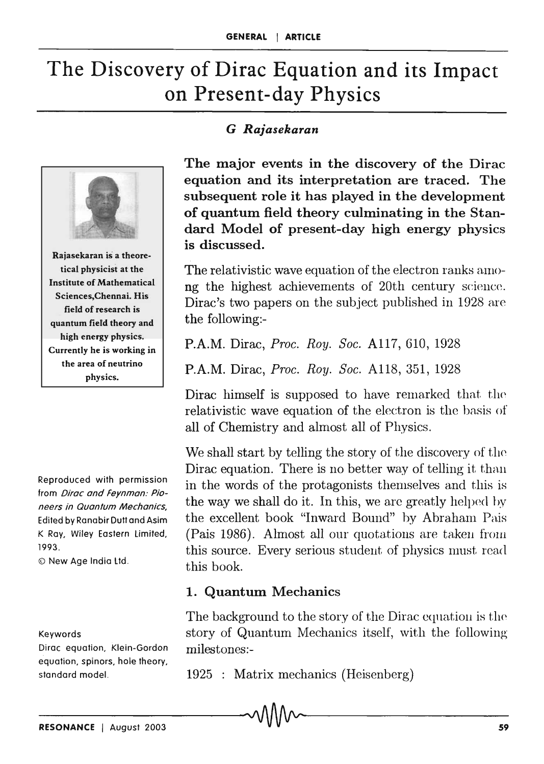# The Discovery of Dirac Equation and its Impact on Present-day Physics



Rajasekaran is a theoretical physicist at the Institute of Mathematical Sciences,Chennai. His field of research is quantum field theory and high energy physics. Currently he is working in the area of neutrino physics.

Reproduced with permission from Dirac and Feynman: Pioneers in Quantum Mechanics, Edited by Ranabir Duff and Asim K Ray, Wiley Eastern limited, 1993.

© New Age India Ltd.

#### Keywords

Dirac equation, Klein-Gordon equation, spinors, hole theory, standard model.

#### G *Rajasekaran*

The major events in the discovery of the Dirac equation and its interpretation are traced. The subsequent role it has played in the development of quantum field theory culminating in the Standard Model of present-day high energy physics is discussed.

The relativistic wave equation of the electron ranks among the highest achievements of 20th century science. Dirac's two papers on the subject published in 1928 are the following:-

P.A.M. Dirac, *Proc. Roy. Soc.* Al17, 610, 1928

P.A.M. Dirac, *Proc. Roy. Soc.* Al18, 351, 1928

Dirac himself is supposed to have remarked that the relativistic wave equation of the electron is the basis of all of Chemistry and almost all of Physics.

We shall start by telling the story of the discovery of the Dirac equation. There is no better way of telling it than in the words of the protagonists themselves and this is the way we shall do it. In this, we are greatly helped by the excellent book "Inward Bound" by Abraham Pais (Pais 1986). Almost all our quotations are taken from this source. Every serious student of physics must read. this book.

#### 1. Quantum Mechanics

The background to the story of the Dirac equation is the story of Quantum Mechanics itself, with the following milestones:-

1925 : Matrix mechanics (Heisenberg)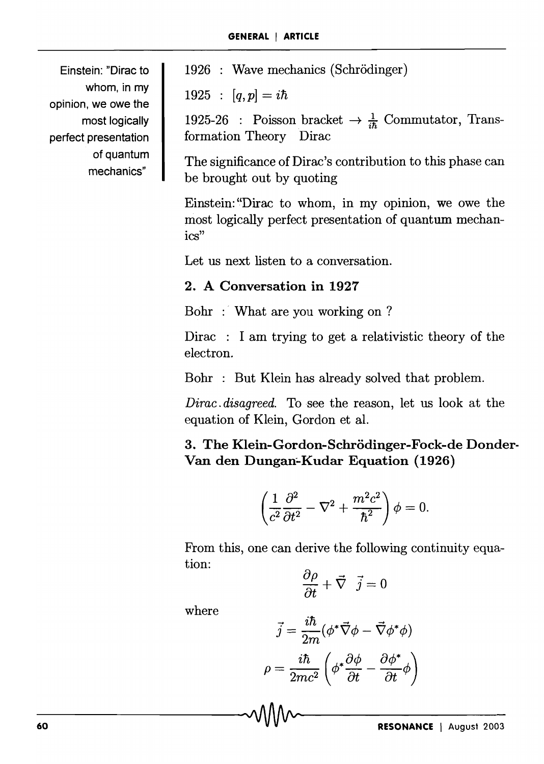Einstein: "Dirac to whom, in my opinion, we owe the most logically perfect presentation of quantum mechanics"

1926 : Wave mechanics (Schrödinger)

 $1925 : [q, p] = i\hbar$ 

1925-26 : Poisson bracket  $\rightarrow \frac{1}{45}$  Commutator, Transformation Theory Dirac

The significance of Dirac's contribution to this phase can be brought out by quoting

Einstein: "Dirac to whom, in my opinion, we owe the most logically perfect presentation of quantum mechanics"

Let us next listen to a conversation.

### 2. A Conversation in 1927

Bohr :' What are you working on ?

Dirac : I am trying to get a relativistic theory of the electron.

Bohr : But Klein has already solved that problem.

*Dirac. disagreed.* To see the reason, let us look at the equation of Klein, Gordon et al.

3. The Klein-Gordon-Schrödinger-Fock-de Donder-Van den Dungan-Kudar Equation (1926)

$$
\left(\frac{1}{c^2}\frac{\partial^2}{\partial t^2} - \nabla^2 + \frac{m^2c^2}{\hbar^2}\right)\phi = 0.
$$

From this, one can derive the following continuity equation:

$$
\frac{\partial \rho}{\partial t} + \vec{\nabla} \cdot \vec{j} = 0
$$

where

$$
\vec{j} = \frac{i\hbar}{2m} (\phi^* \vec{\nabla} \phi - \vec{\nabla} \phi^* \phi)
$$

$$
\rho = \frac{i\hbar}{2mc^2} \left( \phi^* \frac{\partial \phi}{\partial t} - \frac{\partial \phi^*}{\partial t} \phi \right)
$$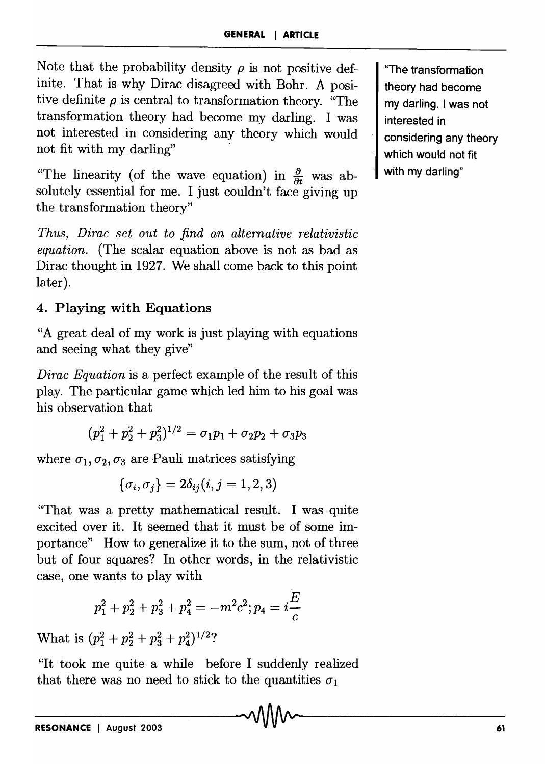Note that the probability density  $\rho$  is not positive definite. That is why Dirac disagreed with Bohr. A positive definite  $\rho$  is central to transformation theory. "The transformation theory had become my darling. I was not interested in considering any theory which would not fit with my darling"

"The linearity (of the wave equation) in  $\frac{\partial}{\partial t}$  was absolutely essential for me. I just couldn't face giving up the transformation theory"

*Thus, Dirac set out to find an alternative relativistic equation.* (The scalar equation above is not as bad as Dirac thought in 1927. We shall come back to this point later).

## 4. Playing with Equations

"A great deal of my work is just playing with equations and seeing what they give"

*Dirac Equation* is a perfect example of the result of this play. The particular game which led him to his goal was his observation that

$$
(p_1^2+p_2^2+p_3^2)^{1/2}=\sigma_1p_1+\sigma_2p_2+\sigma_3p_3
$$

where  $\sigma_1, \sigma_2, \sigma_3$  are Pauli matrices satisfying

$$
\{\sigma_i,\sigma_j\}=2\delta_{ij}(i,j=1,2,3)
$$

"That was a pretty mathematical result. I was quite excited over it. It seemed that it must be of some importance" How to generalize it to the sum, not of three but of four squares? In other words, in the relativistic case, one wants to play with

$$
p_1^2+p_2^2+p_3^2+p_4^2=-m^2c^2; p_4=i\frac{E}{c}
$$

What is  $(p_1^2 + p_2^2 + p_3^2 + p_4^2)^{1/2}$ ?

"It took me quite a while before I suddenly realized that there was no need to stick to the quantities  $\sigma_1$ 

"The transformation theory had become my darling. I was not interested in considering any theory which would not fit with my darling"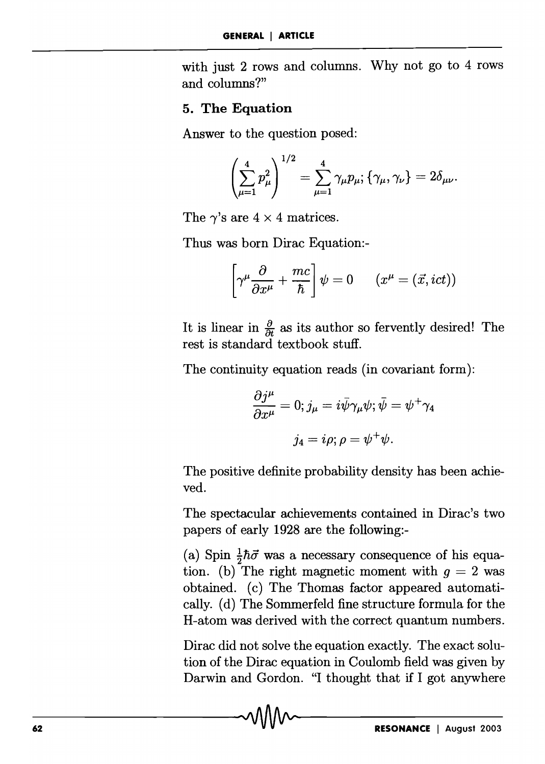with just 2 rows and columns. Why not go to 4 rows and columns?"

#### 5. The Equation

Answer to the question posed:

$$
\left(\sum_{\mu=1}^4 p_{\mu}^2\right)^{1/2} = \sum_{\mu=1}^4 \gamma_{\mu} p_{\mu}; \{\gamma_{\mu}, \gamma_{\nu}\} = 2 \delta_{\mu \nu}.
$$

The  $\gamma$ 's are  $4 \times 4$  matrices.

Thus was born Dirac Equation:-

$$
\left[\gamma^{\mu}\frac{\partial}{\partial x^{\mu}} + \frac{mc}{\hbar}\right]\psi = 0 \qquad (x^{\mu} = (\vec{x}, ict))
$$

It is linear in  $\frac{\partial}{\partial t}$  as its author so fervently desired! The rest is standard textbook stuff.

The continuity equation reads (in covariant form):<br>  $\partial j^{\mu} = 0$ ,  $\dot{\rho} = i\bar{\psi}\gamma_{\mu}e^{i\mu}\bar{\psi} = \psi^{\dagger}e^{i\mu}$ 

$$
\frac{\partial j^{\mu}}{\partial x^{\mu}} = 0; j_{\mu} = i\bar{\psi}\gamma_{\mu}\psi; \bar{\psi} = \psi^{+}\gamma_{4}
$$

$$
j_{4} = i\rho; \rho = \psi^{+}\psi.
$$

The positive definite probability density has been achieved.

The spectacular achievements contained in Dirac's two papers of early 1928 are the following:-

(a) Spin  $\frac{1}{2}\hbar\vec{\sigma}$  was a necessary consequence of his equation. (b) The right magnetic moment with  $g = 2$  was obtained. (c) The Thomas factor appeared automatically. (d) The Sommerfeld fine structure formula for the H-atom was derived with the correct quantum numbers.

Dirac did not solve the equation exactly. The exact solution of the Dirac equation in Coulomb field was given by Darwin and Gordon. "I thought that if I got anywhere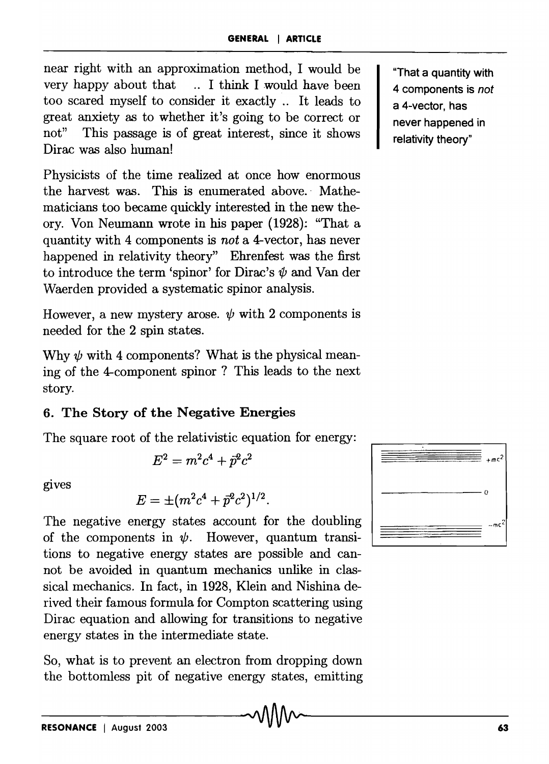near right with an approximation method, I would be very happy about that .. I think I would have been too scared myself to consider it exactly. It leads to great anxiety as to whether it's going to be correct or not" This passage is of great interest, since it shows Dirac was also human!

Physicists of the time realized at once how enormous the harvest was. This is enumerated above. Mathematicians too became quickly interested in the new theory. Von Neumann wrote in his paper (1928}: "That a quantity with 4 components is *not* a 4-vector, has never happened in relativity theory" Ehrenfest was the first to introduce the term 'spinor' for Dirac's  $\psi$  and Van der Waerden provided a systematic spinor analysis.

However, a new mystery arose.  $\psi$  with 2 components is needed for the 2 spin states.

Why  $\psi$  with 4 components? What is the physical meaning of the 4-component spinor ? This leads to the next story.

## 6. The Story of the Negative Energies

The square root of the relativistic equation for energy:

$$
E^2=m^2c^4+\vec{p}^2c^2
$$

gives

$$
E = \pm (m^2c^4 + \vec{p}^2c^2)^{1/2}.
$$

The negative energy states account for the doubling of the components in  $\psi$ . However, quantum transitions to negative energy states are possible and cannot be avoided in quantum mechanics unlike in classical mechanics. In fact, in 1928, Klein and Nishina derived their famous formula for Compton scattering using Dirac equation and allowing for transitions to negative energy states in the intermediate state.

So, what is to prevent an electron from dropping down the bottomless pit of negative energy states, emitting



--------~-------- RESONANCE I August 2003 63

"That a quantity with 4 components is *not*  a 4-vector, has never happened in relativity theory"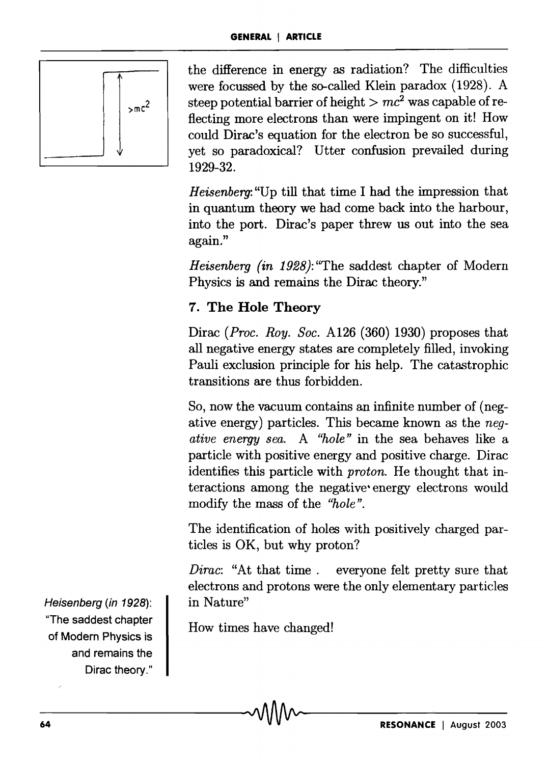

the difference in energy as radiation? The difficulties were focussed by the so-called Klein paradox (1928). A steep potential barrier of height  $>mc^2$  was capable of reflecting more electrons than were impingent on it! How could Dirac's equation for the electron be so successful, yet so paradoxical? Utter confusion prevailed during 1929-32.

*Heisenberg:* "Up till that time I had the impression that in quantum theory we had come back into the harbour, into the port. Dirac's paper threw us out into the sea again."

*Heisenberg (in* 1928): "The saddest chapter of Modern Physics is and remains the Dirac theory."

## 7. The Hole Theory

Dirac *(Proc. Roy. Soc.* A126 (360) 1930) proposes that all negative energy states are completely filled, invoking Pauli exclusion principle for his help. The catastrophic transitions are thus forbidden.

So, now the vacuum contains an infinite number of (negative energy) particles. This became known as the *negative energy sea.* A *"hole"* in the sea behaves like a particle with positive energy and positive charge. Dirac identifies this particle with *proton.* He thought that interactions among the negative' energy electrons would modify the mass of the *"hole".* 

The identification of holes with positively charged particles is OK, but why proton?

*Dirac:* "At that time. everyone felt pretty sure that electrons and protons were the only elementary particles in Nature"

How times have changed!

Heisenberg (in 1928): "The saddest chapter of Modern Physics is and remains the Dirac theory."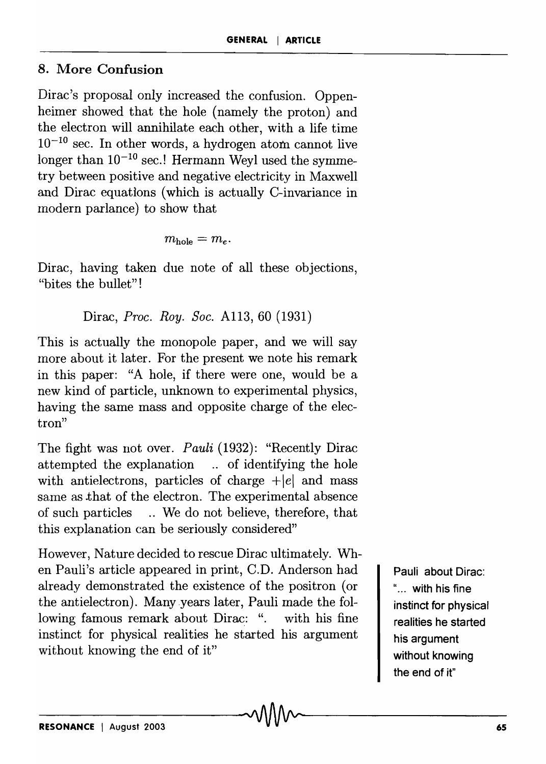## 8. More Confusion

Dirac's proposal only increased the confusion. Oppenheimer showed that the hole (namely the proton) and the electron will annihilate each other, with a life time  $10^{-10}$  sec. In other words, a hydrogen atom cannot live longer than  $10^{-10}$  sec.! Hermann Weyl used the symmetry between positive and negative electricity in Maxwell and Dirac equations (which is actually C-invariance in modern parlance) to show that

$$
m_{\rm hole}=m_e.
$$

Dirac, having taken due note of all these objections, "bites the bullet"!

Dirac, *Proc. Roy. Soc.* A113, 60 (1931)

This is actually the monopole paper, and we will say more about it later. For the present we note his remark in this paper: "A hole, if there were one, would be a new kind of particle, unknown to experimental physics, having the same mass and opposite charge of the electron"

The fight was not over. *Pauli* (1932): "Recently Dirac attempted the explanation ... of identifying the hole with antielectrons, particles of charge  $+|e|$  and mass same as .that of the electron. The experimental absence of such particles ... We do not believe, therefore, that this explanation can be seriously considered"

However, Nature decided to rescue Dirac ultimately. When Pauli's article appeared in print, C.D. Anderson had already demonstrated the existence of the positron (or the antielectron). Many years later, Pauli made the following famous remark about Dirac: ". with his fine instinct for physical realities he started his argument without knowing the end of it"

Pauli about Dirac: "... with his fine instinct for physical realities he started his argument without knowing the end of it"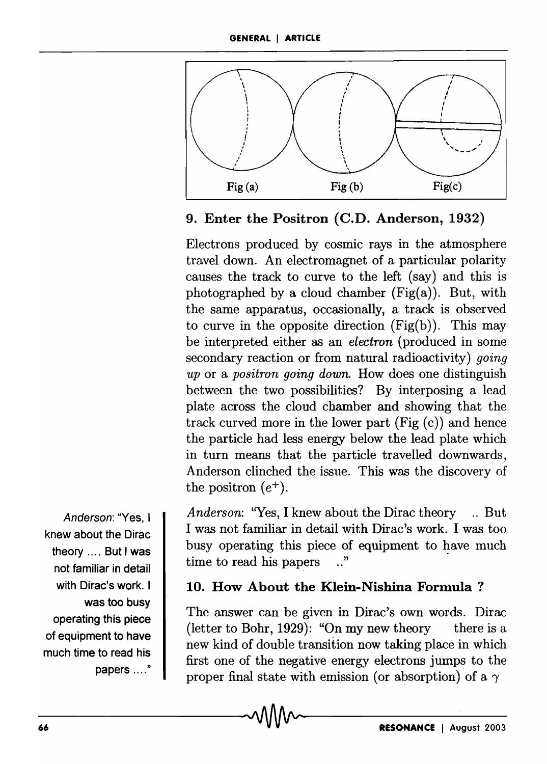

#### 9. Enter the Positron (C.D. Anderson, 1932)

Electrons produced by cosmic rays in the atmosphere travel down. An electromagnet of a particular polarity causes the track to curve to the left (say) and this is photographed by a cloud chamber  $(Fig(a))$ . But, with the same apparatus, occasionally, a track is observed to curve in the opposite direction  $(Fig(b))$ . This may be interpreted either as an *electron* (produced in some secondary reaction or from natural radioactivity) *going up* or a *positron going down.* How does one distinguish between the two possibilities? By interposing a lead plate across the cloud chamber and showing that the track curved more in the lower part  $(Fig(c))$  and hence the particle had less energy below the lead plate which in turn means that the particle travelled downwards, Anderson clinched the issue. This was the discovery of the positron  $(e^+)$ .

*Anderson:* "Yes, I knew about the Dirac theory .. But I was not familiar in detail with Dirac's work. I was too busy operating this piece of equipment to have much time to read his papers  $\ldots$ "

#### 10. How About the Klein-Nishina Formula?

The answer can be given in Dirac's own words. Dirac (letter to Bohr, 1929): "On my new theory there is a new kind of double transition now taking place in which first one of the negative energy electrons jumps to the proper final state with emission (or absorption) of a  $\gamma$ 

Anderson: "Yes, I knew about the Dirac theory .... But I was not familiar in detail with Dirac's work. I was too busy operating this piece of equipment to have much time to read his papers ...."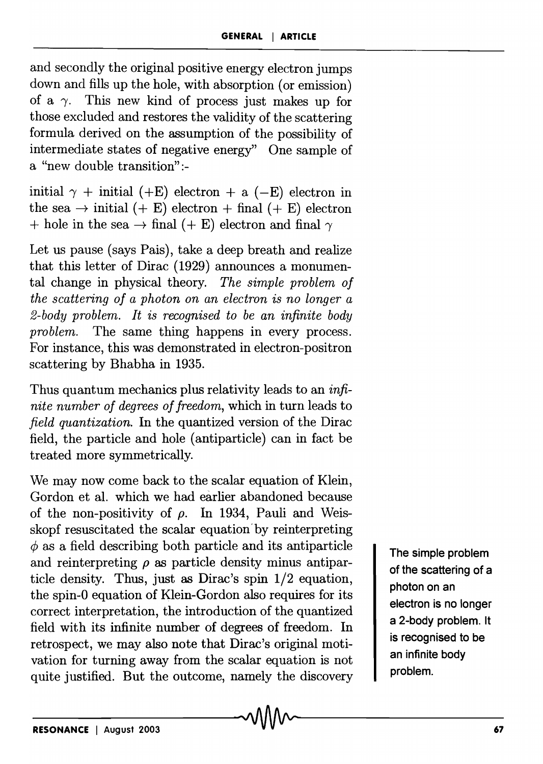and secondly the original positive energy electron jumps down and fills up the hole, with absorption (or emission) of a  $\gamma$ . This new kind of process just makes up for those excluded and restores the validity of the scattering formula derived on the assumption of the possibility of intermediate states of negative energy" One sample of a "new double transition":-

initial  $\gamma$  + initial (+E) electron + a (-E) electron in the sea  $\rightarrow$  initial (+ E) electron + final (+ E) electron + hole in the sea  $\rightarrow$  final (+ E) electron and final  $\gamma$ 

Let us pause (says Pais), take a deep breath and realize that this letter of Dirac (1929) announces a monumental change in physical theory. *The simple problem of the scattering of a photon on an electron is no longer a 2-body problem. It is recognised to be an infinite body problem.* The same thing happens in every process. For instance, this was demonstrated in electron-positron scattering by Bhabha in 1935.

Thus quantum mechanics plus relativity leads to an *infinite number of degrees of freedom,* which in turn leads to *field quantization.* In the quantized version of the Dirac field, the particle and hole (antiparticle) can in fact be treated more symmetrically.

We may now come back to the scalar equation of Klein, Gordon et al. which we had earlier abandoned because of the non-positivity of  $\rho$ . In 1934, Pauli and Weisskopf resuscitated the scalar equation'by reinterpreting  $\phi$  as a field describing both particle and its antiparticle and reinterpreting  $\rho$  as particle density minus antiparticle density. Thus, just as Dirac's spin 1/2 equation, the spin-O equation of Klein-Gordon also requires for its correct interpretation, the introduction of the quantized field with its infinite number of degrees of freedom. In retrospect, we may also note that Dirac's original motivation for turning away from the scalar equation is not quite justified. But the outcome, namely the discovery

The simple problem of the scattering of a photon on an electron is no longer a 2-body problem. It is recognised to be an infinite body problem.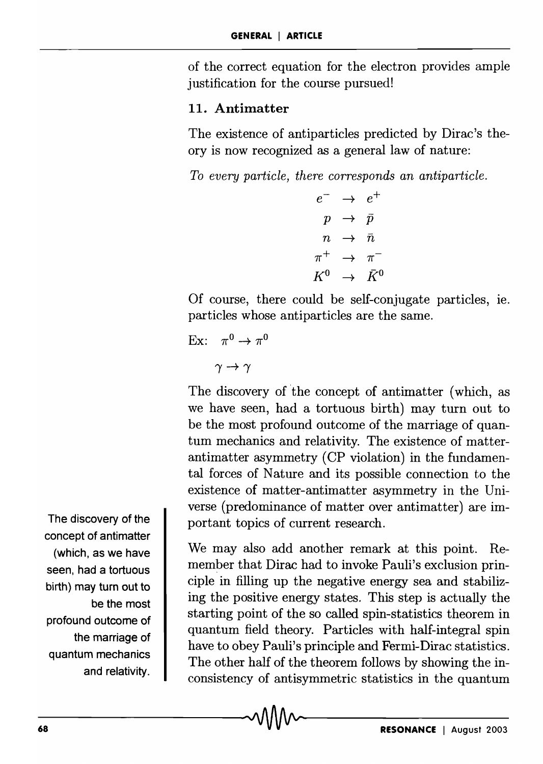of the correct equation for the electron provides ample justification for the course pursued!

#### 11. Antimatter

The existence of antiparticles predicted by Dirac's theory is now recognized as a general law of nature:

*To every particle, there corresponds an antiparticle.* 

 $e^ \rightarrow$   $e^+$  $p \rightarrow \bar{p}$  $n \rightarrow \bar{n}$  $\pi^+$   $\rightarrow$   $\pi^ K^0 \rightarrow \bar{K}^0$ 

Of course, there could be self-conjugate particles, Ie. particles whose antiparticles are the same.

```
Ex: \pi^0 \rightarrow \pi^0
```
 $\gamma \rightarrow \gamma$ 

The discovery of the concept of antimatter (which, as we have seen, had a tortuous birth) may turn out to be the most profound outcome of the marriage of quantum mechanics and relativity. The existence of matterantimatter asymmetry (CP violation) in the fundamental forces of Nature and its possible connection to the existence of matter-antimatter asymmetry in the Universe (predominance of matter over antimatter) are important topics of current research.

We may also add another remark at this point. Remember that Dirac had to invoke Pauli's exclusion principle in filling up the negative energy sea and stabilizing the positive energy states. This step is actually the starting point of the so called spin-statistics theorem in quantum field theory. Particles with half-integral spin have to obey Pauli's principle and Fermi-Dirac statistics. The other half of the theorem follows by showing the inconsistency of antisymmetric statistics in the quantum

The discovery of the concept of antimatter (which, as we have seen, had a tortuous birth) may turn out to be the most profound outcome of the marriage of quantum mechanics and relativity.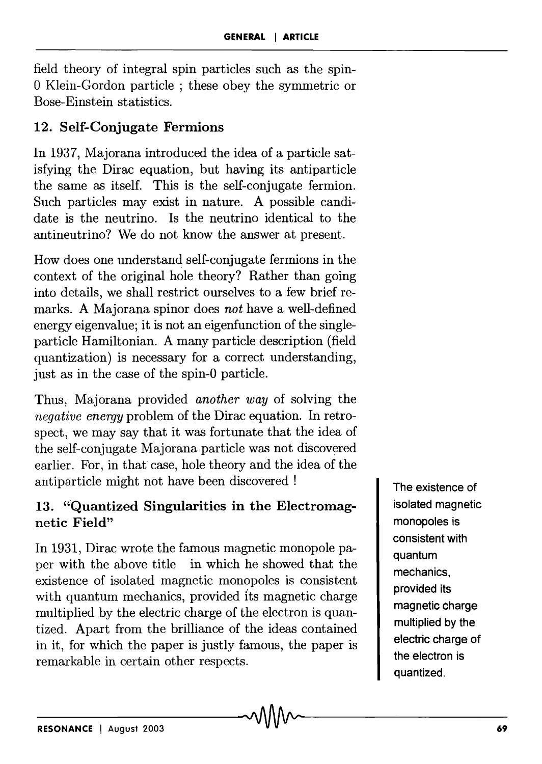field theory of integral spin particles such as the spin-O Klein-Gordon particle; these obey the symmetric or Bose-Einstein statistics.

## 12. Self-Conjugate Fermions

In 1937, Majorana introduced the idea of a particle satisfying the Dirac equation, but having its antiparticle the same as itself. This is the self-conjugate fermion. Such particles may exist in nature. A possible candidate is the neutrino. Is the neutrino identical to the antineutrino? We do not know the answer at present.

How does one understand self-conjugate fermions in the context of the original hole theory? Rather than going into details, we shall restrict ourselves to a few brief remarks. A Majorana spinor does *not* have a well-defined energy eigenvalue; it is not an eigenfunction of the singleparticle Hamiltonian. A many particle description (field quantization) is necessary for a correct understanding, just as in the case of the spin-O particle.

Thus, Majorana provided *another way* of solving the *negative energy* problem of the Dirac equation. In retrospect, we may say that it was fortunate that the idea of the self-conjugate Majorana particle was not discovered earlier. For, in that case, hole theory and the idea of the antiparticle might not have been discovered!

## 13. "'Quantized Singularities in the Electromagnetic Field"

In 1931, Dirac wrote the famous magnetic monopole paper with the above title in which he showed that the existence of isolated magnetic monopoles is consistent with quantum mechanics, provided its magnetic charge multiplied by the electric charge of the electron is quantized. Apart from the brilliance of the ideas contained in it, for which the paper is justly famous, the paper is remarkable in certain other respects.

The existence of isolated magnetic monopoles is consistent with quantum mechanics, provided its magnetic charge multiplied by the electric charge of the electron is quantized.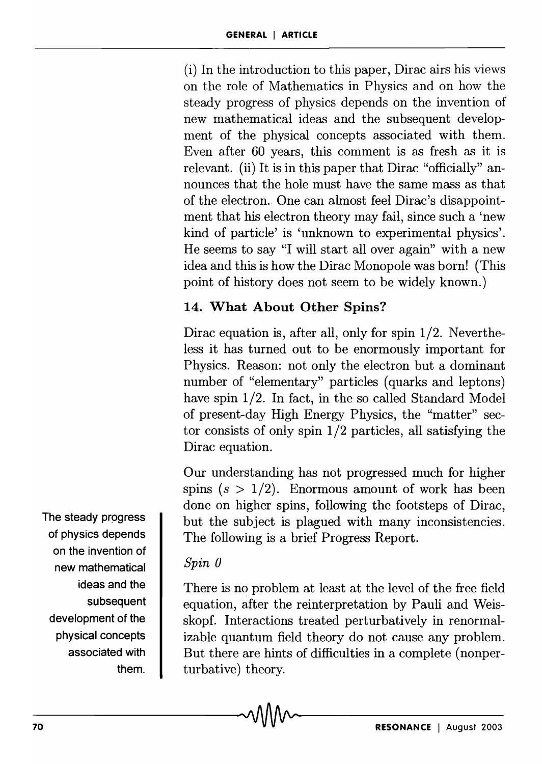(i) In the introduction to this paper, Dirac airs his views on the role of Mathematics in Physics and on how the steady progress of physics depends on the invention of new mathematical ideas and the subsequent development of the physical concepts associated with them. Even after 60 years, this comment is as fresh as it is relevant. (ii) It is in this paper that Dirac "officially" announces that the hole must have the same mass as that of the electron. One can almost feel Dirac's disappointment that his electron theory may fail, since such a 'new kind of particle' is 'unknown to experimental physics'. He seems to say "I will start all over again" with a new idea and this is how the Dirac Monopole was born! (This point of history does not seem to be widely known.)

## 14. What About Other Spins?

Dirac equation is, after all, only for spin 1/2. Nevertheless it has turned out to be enormously important for Physics. Reason: not only the electron but a dominant number of "elementary" particles (quarks and leptons) have spin 1/2. In fact, in the so called Standard Model of present-day High Energy Physics, the "matter" sector consists of only spin 1/2 particles, all satisfying the Dirac equation.

Our understanding has not progressed much for higher spins  $(s > 1/2)$ . Enormous amount of work has been done on higher spins, following the footsteps of Dirac, but the subject is plagued with many inconsistencies. The following is a brief Progress Report.

## *Spin 0*

There is no problem at least at the level of the free field equation, after the reinterpretation by Pauli and Weisskopf. Interactions treated perturbatively in renormalizable quantum field theory do not cause any problem. But there are hints of difficulties in a complete (nonperturbative) theory.

The steady progress of physics depends on the invention of new mathematical ideas and the subsequent development of the physical concepts associated with them.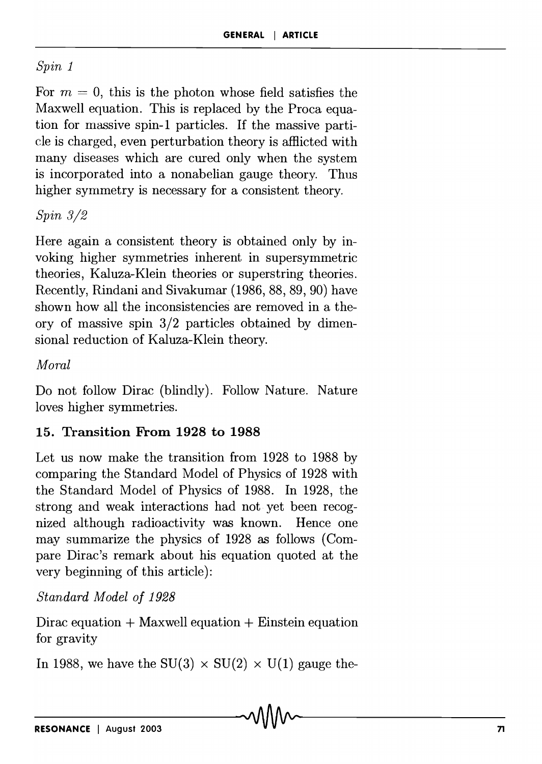#### *Spin 1*

For  $m = 0$ , this is the photon whose field satisfies the Maxwell equation. This is replaced by the Proca equation for massive spin-1 particles. If the massive particle is charged, even perturbation theory is afHicted with many diseases which are cured only when the system is incorporated into a nonabelian gauge theory. Thus higher symmetry is necessary for a consistent theory.

### *Spin 3/2*

Here again a consistent theory is obtained only by invoking higher symmetries inherent in supersymmetric theories, Kaluza-Klein theories or superstring theories. Recently, Rindani and Sivakumar (1986, 88, 89, 90) have shown how all the inconsistencies are removed in a theory of massive spin 3/2 particles obtained by dimensional reduction of Kaluza-Klein theory.

#### *Moral*

Do not follow Dirac (blindly). Follow Nature. Nature loves higher symmetries.

## 15. Transition From 1928 to 1988

Let us now make the transition from 1928 to 1988 by comparing the Standard Model of Physics of 1928 with the Standard Model of Physics of 1988. In 1928, the strong and weak interactions had not yet been recognized although radioactivity was known. Hence one may summarize the physics of 1928 as follows (Compare Dirac's remark about his equation quoted at the very beginning of this article):

*Standard Model of 1928* 

Dirac equation  $+$  Maxwell equation  $+$  Einstein equation for gravity

In 1988, we have the SU(3)  $\times$  SU(2)  $\times$  U(1) gauge the-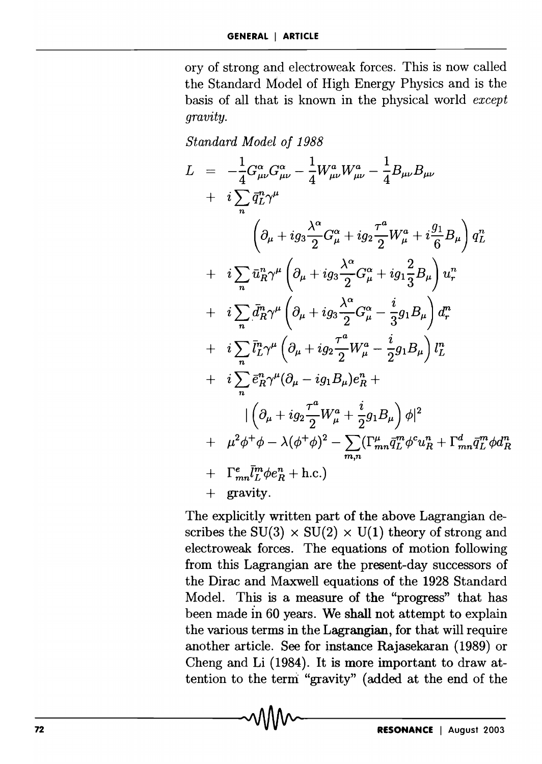ory of strong and electroweak forces. This is now called the Standard Model of High Energy Physics and is the basis of all that is known in the physical world *except gravity.* 

*Standard Model of* 1988

$$
L = -\frac{1}{4}G_{\mu\nu}^{\alpha}G_{\mu\nu}^{\alpha} - \frac{1}{4}W_{\mu\nu}^{\alpha}W_{\mu\nu}^{\alpha} - \frac{1}{4}B_{\mu\nu}B_{\mu\nu}
$$
  
\n
$$
+ i \sum_{n} \bar{q}_{L}^{n} \gamma^{\mu}
$$
  
\n
$$
\left(\partial_{\mu} + ig_{3} \frac{\lambda^{\alpha}}{2} G_{\mu}^{\alpha} + ig_{2} \frac{\tau^{\alpha}}{2} W_{\mu}^{\alpha} + i \frac{g_{1}}{6} B_{\mu}\right) q_{L}^{n}
$$
  
\n
$$
+ i \sum_{n} \bar{u}_{R}^{n} \gamma^{\mu} \left(\partial_{\mu} + ig_{3} \frac{\lambda^{\alpha}}{2} G_{\mu}^{\alpha} + ig_{1} \frac{2}{3} B_{\mu}\right) u_{r}^{n}
$$
  
\n
$$
+ i \sum_{n} \bar{d}_{R}^{n} \gamma^{\mu} \left(\partial_{\mu} + ig_{3} \frac{\lambda^{\alpha}}{2} G_{\mu}^{\alpha} - \frac{i}{3} g_{1} B_{\mu}\right) d_{r}^{n}
$$
  
\n
$$
+ i \sum_{n} \bar{l}_{L}^{n} \gamma^{\mu} \left(\partial_{\mu} + ig_{2} \frac{\tau^{\alpha}}{2} W_{\mu}^{\alpha} - \frac{i}{2} g_{1} B_{\mu}\right) l_{L}^{n}
$$
  
\n
$$
+ i \sum_{n} \bar{e}_{R}^{n} \gamma^{\mu} (\partial_{\mu} - ig_{1} B_{\mu}) e_{R}^{n} + \frac{i}{2} g_{1} B_{\mu} \right) \phi|^{2}
$$
  
\n
$$
+ \mu^{2} \phi^{+} \phi - \lambda (\phi^{+} \phi)^{2} - \sum_{m,n} (\Gamma_{mn}^{\mu} \bar{q}_{L}^{m} \phi^{c} u_{R}^{n} + \Gamma_{mn}^{d} \bar{q}_{L}^{m} \phi d_{R}^{n}
$$
  
\n
$$
+ \Gamma_{mn}^{e} \bar{l}_{L}^{m} \phi e_{R}^{n} + \text{h.c.})
$$
  
\n
$$
\qquad + \text{gravity.}
$$

The explicitly written part of the above Lagrangian describes the SU(3)  $\times$  SU(2)  $\times$  U(1) theory of strong and electroweak forces. The equations of motion following from this Lagrangian are the present-day successors of the Dirac and Maxwell equations of the 1928 Standard Model. This is a measure of the "progress" that has been made in 60 years. We shall not attempt to explain the various terms in the Lagrangian, for that will require another article. See for instance Rajasekaran (1989) or Cheng and Li (1984). It is more important to draw attention to the term "gravity" (added at the end of the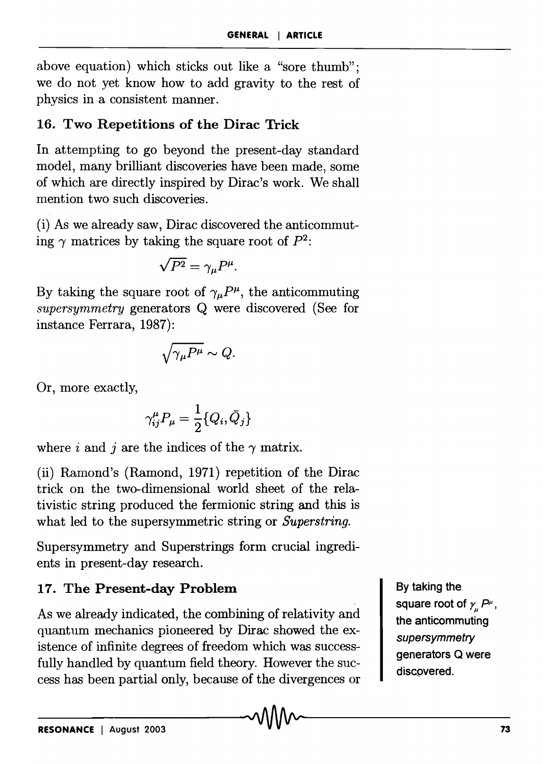above equation) which sticks out like a "sore thumb"; we do not yet know how to add gravity to the rest of physics in a consistent manner.

## 16. Two Repetitions of the Dirac Trick

In attempting to go beyond the present-day standard model, many brilliant discoveries have been made, some of which are directly inspired by Dirac's work. We shall mention two such discoveries.

(i) As we already saw, Dirac discovered the anticommuting  $\gamma$  matrices by taking the square root of  $P^2$ :

$$
\sqrt{P^2} = \gamma_\mu P^\mu.
$$

By taking the square root of  $\gamma_\mu P^\mu$ , the anticommuting *supersymmetry* generators Q were discovered (See for instance Ferrara, 1987):

$$
\sqrt{\gamma_{\mu}P^{\mu}}\sim Q.
$$

Or, more exactly,

$$
\gamma^\mu_{ij}P_\mu=\frac{1}{2}\{Q_i,\bar{Q}_j\}
$$

where i and j are the indices of the  $\gamma$  matrix.

(ii) Ramond's (Ramond, 1971) repetition of the Dirac trick on the two-dimensional world sheet of the relativistic string produced the fermionic string and this is what led to the supersymmetric string or *Superstring.* 

Supersymmetry and Superstrings form crucial ingredients in present-day research.

## 17. The Present-day Problem

As we already indicated, the combining of relativity and quantum mechanics pioneered by Dirac showed the existence of infinite degrees of freedom which was successfully handled by quantum field theory. However the success has been partial only, because of the divergences or

By taking the square root of  $\gamma_{_\mu}$   $P^{\mu}$  , the anticommuting **supersymmetry** generators Q were discovered.